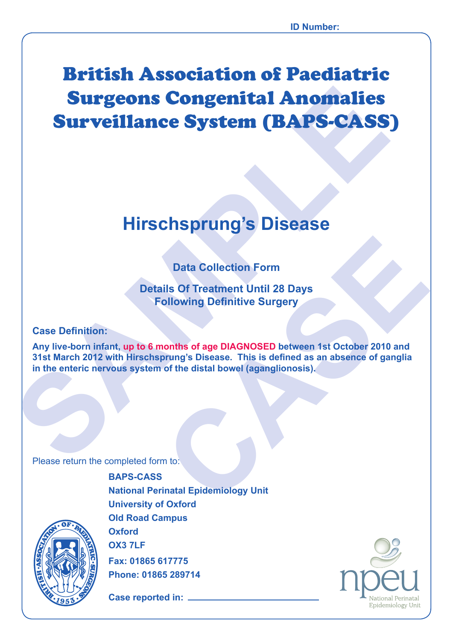# **Surveillance System (BAPS-CASS<br>
Hirschsprung's Disease<br>
Data Collection Form<br>
Details Of Treatment Until 28 Days<br>
Following Definitive: Surgery<br>
Case Definition:<br>
Any live-born infant, up to 6 months of age DIAGNOSED betw** British Association of Paediatric Surgeons Congenital Anomalies Surveillance System (BAPS-CASS)

# **Hirschsprung's Disease**

# **Data Collection Form**

**Details Of Treatment Until 28 Days Following Definitive Surgery**

### **Case Definition:**

Data Collection Form<br>
ills Of Treatment Until 28 Days<br>
collowing Definitive Surgery<br>
nonths of age DIAGNOSED between 1st October 2010 and<br>
prung's Disease. This is defined as an absence of ganglia<br>
of the distal bowel (aga **Any live-born infant, up to 6 months of age DIAGNOSED between 1st October 2010 and 31st March 2012 with Hirschsprung's Disease. This is defined as an absence of ganglia in the enteric nervous system of the distal bowel (aganglionosis).**

Please return the completed form to:



**BAPS-CASS National Perinatal Epidemiology Unit University of Oxford Old Road Campus Oxford OX3 7LF Fax: 01865 617775**

**Case reported in:** 

**Phone: 01865 289714**

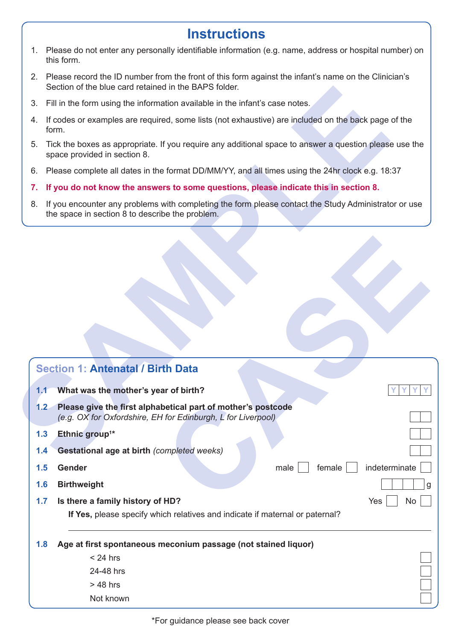# **Instructions**

- 1. Please do not enter any personally identifiable information (e.g. name, address or hospital number) on this form.
- 2. Please record the ID number from the front of this form against the infant's name on the Clinician's Section of the blue card retained in the BAPS folder.
- 3. Fill in the form using the information available in the infant's case notes.
- 4. If codes or examples are required, some lists (not exhaustive) are included on the back page of the form.
- 5. Tick the boxes as appropriate. If you require any additional space to answer a question please use the space provided in section 8.
- 6. Please complete all dates in the format DD/MM/YY, and all times using the 24hr clock e.g. 18:37
- **7. If you do not know the answers to some questions, please indicate this in section 8.**
- 8. If you encounter any problems with completing the form please contact the Study Administrator or use the space in section 8 to describe the problem.

|     | Section of the blue card retained in the BAPS folder.                                                                                                   |
|-----|---------------------------------------------------------------------------------------------------------------------------------------------------------|
| 3.  | Fill in the form using the information available in the infant's case notes.                                                                            |
| 4.  | If codes or examples are required, some lists (not exhaustive) are included on the back page of the<br>form.                                            |
| 5.  | Tick the boxes as appropriate. If you require any additional space to answer a question please use the<br>space provided in section 8.                  |
| 6.  | Please complete all dates in the format DD/MM/YY, and all times using the 24hr clock e.g. 18:37                                                         |
| 7.  | If you do not know the answers to some questions, please indicate this in section 8.                                                                    |
| 8.  | If you encounter any problems with completing the form please contact the Study Administrator or use<br>the space in section 8 to describe the problem. |
|     |                                                                                                                                                         |
|     |                                                                                                                                                         |
|     |                                                                                                                                                         |
|     |                                                                                                                                                         |
|     |                                                                                                                                                         |
|     |                                                                                                                                                         |
|     |                                                                                                                                                         |
|     |                                                                                                                                                         |
|     | <b>Section 1: Antenatal / Birth Data</b>                                                                                                                |
| 1,1 | What was the mother's year of birth?                                                                                                                    |
| 1.2 | Please give the first alphabetical part of mother's postcode<br>(e.g. OX for Oxfordshire, EH for Edinburgh, L for Liverpool)                            |
| 1.3 | Ethnic group <sup>1*</sup>                                                                                                                              |
| 1.4 | Gestational age at birth (completed weeks)                                                                                                              |
| 1.5 | indeterminate<br>Gender<br>male<br>female                                                                                                               |
| 1.6 | <b>Birthweight</b>                                                                                                                                      |
| 1.7 | Is there a family history of HD?<br>Yes<br>No                                                                                                           |
|     | If Yes, please specify which relatives and indicate if maternal or paternal?                                                                            |
| 1.8 | Age at first spontaneous meconium passage (not stained liquor)                                                                                          |
|     | $< 24$ hrs                                                                                                                                              |
|     | 24-48 hrs                                                                                                                                               |
|     |                                                                                                                                                         |
|     | $>48$ hrs<br>Not known                                                                                                                                  |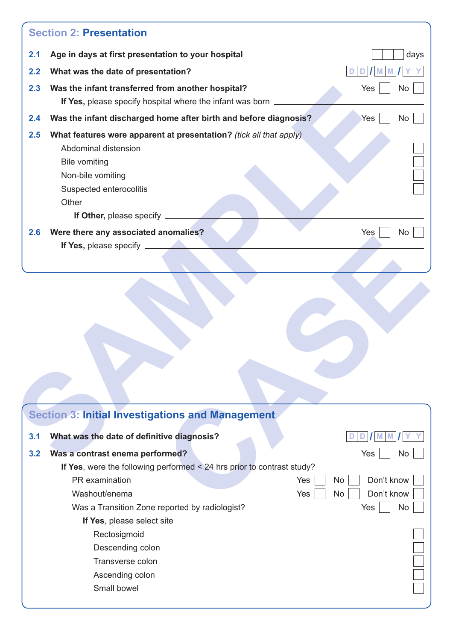|            | <b>Section 2: Presentation</b>                                                                                                                                                                                                                                                 |           |
|------------|--------------------------------------------------------------------------------------------------------------------------------------------------------------------------------------------------------------------------------------------------------------------------------|-----------|
| 2.1        | Age in days at first presentation to your hospital                                                                                                                                                                                                                             | days      |
| 2.2        | What was the date of presentation?                                                                                                                                                                                                                                             |           |
| 2.3        | Was the infant transferred from another hospital?<br>If Yes, please specify hospital where the infant was born _                                                                                                                                                               | Yes<br>No |
| 2.4        | Was the infant discharged home after birth and before diagnosis?                                                                                                                                                                                                               | Yes<br>No |
| 2.5<br>2.6 | What features were apparent at presentation? (tick all that apply)<br>Abdominal distension<br><b>Bile vomiting</b><br>Non-bile vomiting<br>Suspected enterocolitis<br>Other<br>If Other, please specify _<br>Were there any associated anomalies?<br>If Yes, please specify __ | Yes<br>No |
|            |                                                                                                                                                                                                                                                                                |           |
|            |                                                                                                                                                                                                                                                                                |           |
|            | <b>Section 3: Initial Investigations and Management</b>                                                                                                                                                                                                                        |           |
| 3.1        | What was the date of definitive diagnosis?                                                                                                                                                                                                                                     |           |
| 3.2        | Was a contrast enema performed?                                                                                                                                                                                                                                                | Yes<br>No |

|     | <b>Trefe there any associated anomalies:</b>                             | $\sim$ $\sim$ $\sim$ $\sim$ $\sim$ $\sim$<br>$\sim$ $\sim$ $\sim$ |
|-----|--------------------------------------------------------------------------|-------------------------------------------------------------------|
|     | If Yes, please specify _                                                 |                                                                   |
|     |                                                                          |                                                                   |
|     |                                                                          |                                                                   |
|     |                                                                          |                                                                   |
|     |                                                                          |                                                                   |
|     |                                                                          |                                                                   |
|     |                                                                          |                                                                   |
|     |                                                                          |                                                                   |
|     |                                                                          |                                                                   |
|     |                                                                          |                                                                   |
|     |                                                                          |                                                                   |
|     |                                                                          |                                                                   |
|     |                                                                          |                                                                   |
|     | <b>Section 3: Initial Investigations and Management</b>                  |                                                                   |
| 3.1 | What was the date of definitive diagnosis?                               | M<br>D<br>M<br>D                                                  |
| 3.2 | Was a contrast enema performed?                                          | Yes<br><b>No</b>                                                  |
|     | If Yes, were the following performed $<$ 24 hrs prior to contrast study? |                                                                   |
|     | PR examination                                                           | Yes<br>Don't know<br><b>No</b>                                    |
|     | Washout/enema                                                            | Don't know<br>Yes<br><b>No</b>                                    |
|     | Was a Transition Zone reported by radiologist?                           | <b>No</b><br>Yes                                                  |
|     | If Yes, please select site                                               |                                                                   |
|     | Rectosigmoid                                                             |                                                                   |
|     | Descending colon                                                         |                                                                   |
|     | Transverse colon                                                         |                                                                   |
|     | Ascending colon                                                          |                                                                   |
|     | Small bowel                                                              |                                                                   |
|     |                                                                          |                                                                   |
|     |                                                                          |                                                                   |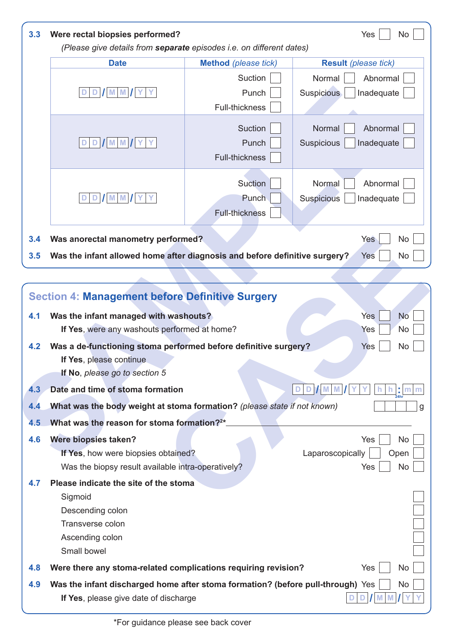| 3.3 | Were rectal biopsies performed?<br>(Please give details from separate episodes i.e. on different dates)                     |                                           | Yes<br>No                                             |
|-----|-----------------------------------------------------------------------------------------------------------------------------|-------------------------------------------|-------------------------------------------------------|
|     | <b>Date</b>                                                                                                                 | <b>Method</b> (please tick)               | <b>Result</b> (please tick)                           |
|     |                                                                                                                             | Suction                                   | Normal<br>Abnormal                                    |
|     | $D$ $\vert$ $\vert$ M $\vert$ M $\vert$ $\vert$ Y                                                                           | Punch<br>Full-thickness                   | Suspicious<br>Inadequate                              |
|     | $M$ M $\prime$ Y<br>D                                                                                                       | Suction<br>Punch<br><b>Full-thickness</b> | Abnormal<br>Normal<br>Suspicious<br>Inadequate        |
|     | <b>M</b> M                                                                                                                  | Suction<br>Punch<br><b>Full-thickness</b> | Abnormal<br>Normal<br><b>Suspicious</b><br>Inadequate |
| 3.4 | Was anorectal manometry performed?                                                                                          |                                           | Yes<br><b>No</b>                                      |
| 3.5 | Was the infant allowed home after diagnosis and before definitive surgery?                                                  |                                           | <b>Yes</b><br>No                                      |
|     |                                                                                                                             |                                           |                                                       |
|     | <b>Section 4: Management before Definitive Surgery</b>                                                                      |                                           |                                                       |
| 4.1 | Was the infant managed with washouts?<br>If Yes, were any washouts performed at home?                                       |                                           | Yes<br><b>No</b><br>No<br>Yes                         |
| 4.2 | Was a de-functioning stoma performed before definitive surgery?<br>If Yes, please continue<br>If No, please go to section 5 |                                           | Yes<br><b>No</b>                                      |
| 4.3 | Date and time of stoma formation                                                                                            |                                           | D                                                     |
| 4.4 | What was the body weight at stoma formation? (please state if not known)                                                    |                                           |                                                       |
| 4.5 | What was the reason for stoma formation? <sup>2*</sup>                                                                      |                                           |                                                       |
| 4.6 | Were biopsies taken?<br>If Yes, how were biopsies obtained?<br>Was the biopsy result available intra-operatively?           |                                           | Yes<br>No<br>Laparoscopically<br>Open<br>Yes<br>No    |
| 4.7 | Please indicate the site of the stoma<br>Sigmoid<br>Descending colon<br>Transverse colon<br>Ascending colon<br>Small bowel  |                                           |                                                       |
| 4.8 | Were there any stoma-related complications requiring revision?                                                              |                                           | Yes<br>No                                             |
|     |                                                                                                                             |                                           |                                                       |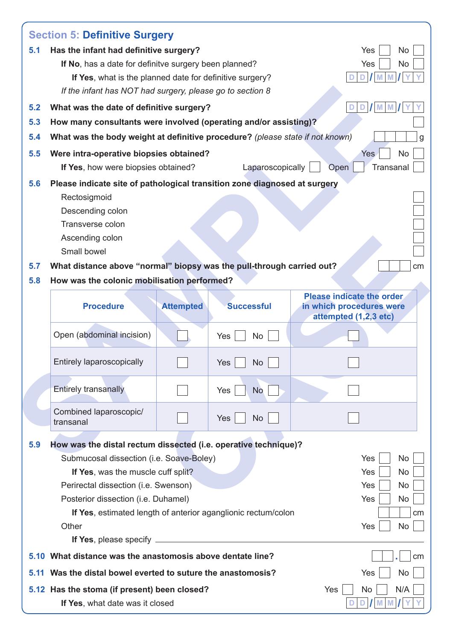|      | <b>Section 5: Definitive Surgery</b>                                                                    |                  |                         |            |                                                       |
|------|---------------------------------------------------------------------------------------------------------|------------------|-------------------------|------------|-------------------------------------------------------|
| 5.1  | Has the infant had definitive surgery?                                                                  |                  |                         |            | Yes<br><b>No</b>                                      |
|      | If No, has a date for definitve surgery been planned?                                                   |                  |                         |            | Yes<br><b>No</b>                                      |
|      | If Yes, what is the planned date for definitive surgery?                                                |                  |                         |            |                                                       |
|      | If the infant has NOT had surgery, please go to section 8                                               |                  |                         |            |                                                       |
| 5.2  | What was the date of definitive surgery?                                                                |                  |                         |            | M<br>M<br>D                                           |
| 5.3  | How many consultants were involved (operating and/or assisting)?                                        |                  |                         |            |                                                       |
| 5.4  | What was the body weight at definitive procedure? (please state if not known)                           |                  |                         |            |                                                       |
| 5.5  | Were intra-operative biopsies obtained?                                                                 |                  |                         |            | Yes<br><b>No</b>                                      |
|      | If Yes, how were biopsies obtained?                                                                     |                  | Laparoscopically        | Open       | Transanal                                             |
| 5.6  | Please indicate site of pathological transition zone diagnosed at surgery                               |                  |                         |            |                                                       |
|      | Rectosigmoid                                                                                            |                  |                         |            |                                                       |
|      | Descending colon                                                                                        |                  |                         |            |                                                       |
|      | Transverse colon                                                                                        |                  |                         |            |                                                       |
|      | Ascending colon                                                                                         |                  |                         |            |                                                       |
|      | Small bowel                                                                                             |                  |                         |            |                                                       |
| 5.7  | What distance above "normal" biopsy was the pull-through carried out?                                   |                  |                         |            |                                                       |
| 5.8  | How was the colonic mobilisation performed?                                                             |                  |                         |            |                                                       |
|      | <b>Procedure</b>                                                                                        | <b>Attempted</b> | <b>Successful</b>       |            | Please indicate the order<br>in which procedures were |
|      |                                                                                                         |                  |                         |            |                                                       |
|      |                                                                                                         |                  |                         |            | attempted (1,2,3 etc)                                 |
|      | Open (abdominal incision)                                                                               |                  | Yes<br>No               |            |                                                       |
|      | Entirely laparoscopically                                                                               |                  | Yes $\vert$<br>No       |            |                                                       |
|      | <b>Entirely transanally</b>                                                                             |                  | Yes<br><b>No</b>        |            |                                                       |
|      | Combined laparoscopic/<br>transanal                                                                     |                  | <b>Yes</b><br><b>No</b> |            |                                                       |
| 5.9  | How was the distal rectum dissected (i.e. operative technique)?                                         |                  |                         |            |                                                       |
|      | Submucosal dissection (i.e. Soave-Boley)                                                                |                  |                         |            | Yes<br>No                                             |
|      | If Yes, was the muscle cuff split?                                                                      |                  |                         |            | Yes<br>No                                             |
|      | Perirectal dissection (i.e. Swenson)                                                                    |                  |                         |            | Yes<br>No                                             |
|      | Posterior dissection (i.e. Duhamel)                                                                     |                  |                         |            | Yes<br>No                                             |
|      | If Yes, estimated length of anterior aganglionic rectum/colon                                           |                  |                         |            |                                                       |
|      | Other                                                                                                   |                  |                         |            | Yes<br>No                                             |
|      | If Yes, please specify _                                                                                |                  |                         |            |                                                       |
|      | 5.10 What distance was the anastomosis above dentate line?                                              |                  |                         |            |                                                       |
| 5.11 | Was the distal bowel everted to suture the anastomosis?<br>5.12 Has the stoma (if present) been closed? |                  |                         | <b>Yes</b> | Yes<br><b>No</b><br>No<br>N/A                         |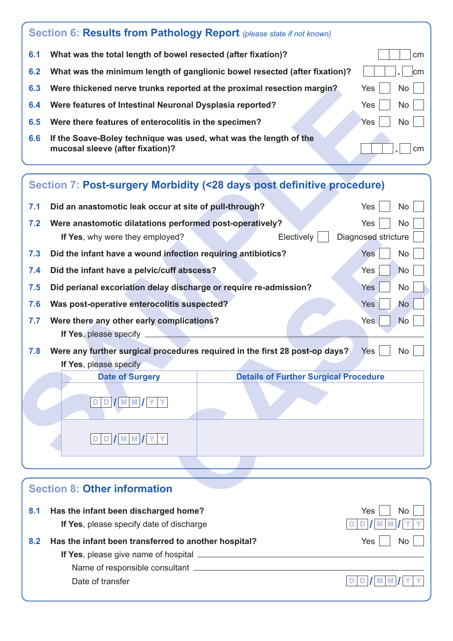|     | Section 6: Results from Pathology Report (please state if not known)                                  |                |
|-----|-------------------------------------------------------------------------------------------------------|----------------|
| 6.1 | What was the total length of bowel resected (after fixation)?                                         | cm             |
| 6.2 | What was the minimum length of ganglionic bowel resected (after fixation)?                            | $\mathsf{lcm}$ |
| 6.3 | Were thickened nerve trunks reported at the proximal resection margin?                                | Yes<br>No l    |
| 6.4 | Were features of Intestinal Neuronal Dysplasia reported?                                              | Yes<br>No      |
| 6.5 | Were there features of enterocolitis in the specimen?                                                 | Yes<br>No.     |
| 6.6 | If the Soave-Boley technique was used, what was the length of the<br>mucosal sleeve (after fixation)? | cm             |

| 6.3 | Were thickened nerve trunks reported at the proximal resection margin?                                |                                                                             | <b>No</b><br>Yes        |
|-----|-------------------------------------------------------------------------------------------------------|-----------------------------------------------------------------------------|-------------------------|
| 6.4 | Were features of Intestinal Neuronal Dysplasia reported?                                              |                                                                             | Yes<br>No               |
| 6.5 | Were there features of enterocolitis in the specimen?                                                 |                                                                             | Yes<br><b>No</b>        |
| 6.6 | If the Soave-Boley technique was used, what was the length of the<br>mucosal sleeve (after fixation)? |                                                                             | cm                      |
|     |                                                                                                       |                                                                             |                         |
|     |                                                                                                       | Section 7: Post-surgery Morbidity (<28 days post definitive procedure)      |                         |
| 7.1 | Did an anastomotic leak occur at site of pull-through?                                                |                                                                             | Yes<br>No               |
| 7.2 | Were anastomotic dilatations performed post-operatively?                                              |                                                                             | Yes<br>No               |
|     | If Yes, why were they employed?                                                                       | Electively                                                                  | Diagnosed stricture     |
| 7.3 | Did the infant have a wound infection requiring antibiotics?                                          |                                                                             | <b>Yes</b><br><b>No</b> |
| 7.4 | Did the infant have a pelvic/cuff abscess?                                                            |                                                                             | Yes<br><b>No</b>        |
| 7.5 | Did perianal excoriation delay discharge or require re-admission?                                     |                                                                             | Yes<br>No               |
| 7.6 | Was post-operative enterocolitis suspected?                                                           |                                                                             | <b>Yes</b><br><b>No</b> |
| 7.7 | Were there any other early complications?                                                             |                                                                             | <b>Yes</b><br><b>No</b> |
|     | If Yes, please specify _                                                                              |                                                                             |                         |
| 7.8 |                                                                                                       | Were any further surgical procedures required in the first 28 post-op days? | Yes<br>No               |
|     | If Yes, please specify                                                                                | <b>Details of Further Surgical Procedure</b>                                |                         |
|     | <b>Date of Surgery</b>                                                                                |                                                                             |                         |
|     | DVMM<br>D.                                                                                            |                                                                             |                         |
|     |                                                                                                       |                                                                             |                         |
|     | <b>M</b> M<br>D I                                                                                     |                                                                             |                         |
|     |                                                                                                       |                                                                             |                         |
|     |                                                                                                       |                                                                             |                         |
|     | <b>Section 8: Other information</b>                                                                   |                                                                             |                         |
|     |                                                                                                       |                                                                             |                         |

|     | <b>Section 8: Other information</b>                  |           |
|-----|------------------------------------------------------|-----------|
| 8.1 | Has the infant been discharged home?                 | Yes<br>No |
|     | If Yes, please specify date of discharge             |           |
| 8.2 | Has the infant been transferred to another hospital? | Yes<br>No |
|     |                                                      |           |
|     | Name of responsible consultant                       |           |
|     | Date of transfer                                     |           |
|     |                                                      |           |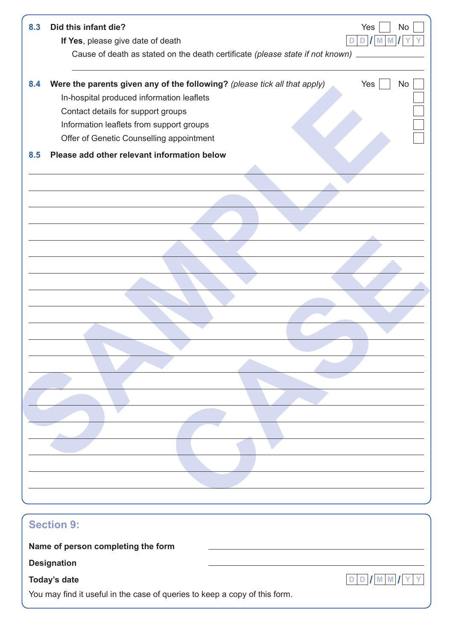| 8.3 | Did this infant die?<br>Yes<br><b>No</b>                                                      |
|-----|-----------------------------------------------------------------------------------------------|
|     | If Yes, please give date of death<br>D                                                        |
|     | Cause of death as stated on the death certificate (please state if not known)                 |
| 8.4 | Were the parents given any of the following? (please tick all that apply)<br>Yes<br><b>No</b> |
|     | In-hospital produced information leaflets                                                     |
|     | Contact details for support groups                                                            |
|     | Information leaflets from support groups                                                      |
|     | Offer of Genetic Counselling appointment                                                      |
| 8.5 | Please add other relevant information below                                                   |
|     |                                                                                               |
|     |                                                                                               |
|     |                                                                                               |
|     |                                                                                               |
|     |                                                                                               |
|     |                                                                                               |
|     |                                                                                               |
|     |                                                                                               |
|     |                                                                                               |
|     |                                                                                               |
|     |                                                                                               |
|     |                                                                                               |
|     |                                                                                               |
|     |                                                                                               |
|     |                                                                                               |
|     |                                                                                               |
|     |                                                                                               |
|     |                                                                                               |
|     |                                                                                               |
|     |                                                                                               |
|     |                                                                                               |
|     |                                                                                               |
|     |                                                                                               |
|     |                                                                                               |
|     |                                                                                               |
|     |                                                                                               |
|     | <b>Section 9:</b>                                                                             |

# **Today's date D D / M M / Y Y D**

You may find it useful in the case of queries to keep a copy of this form.